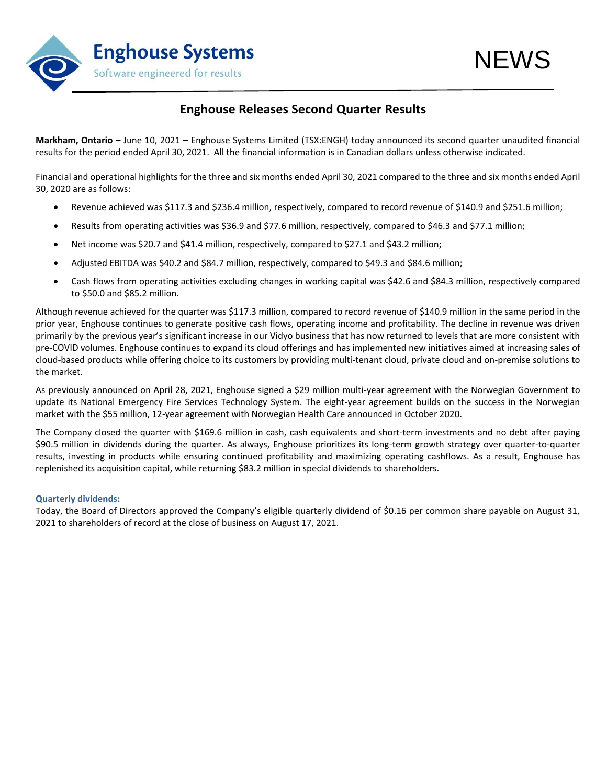

## **Enghouse Releases Second Quarter Results**

**Markham, Ontario –** June 10, 2021 **–** Enghouse Systems Limited (TSX:ENGH) today announced its second quarter unaudited financial results for the period ended April 30, 2021. All the financial information is in Canadian dollars unless otherwise indicated.

Financial and operational highlights for the three and six months ended April 30, 2021 compared to the three and six months ended April 30, 2020 are as follows:

- Revenue achieved was \$117.3 and \$236.4 million, respectively, compared to record revenue of \$140.9 and \$251.6 million;
- Results from operating activities was \$36.9 and \$77.6 million, respectively, compared to \$46.3 and \$77.1 million;
- Net income was \$20.7 and \$41.4 million, respectively, compared to \$27.1 and \$43.2 million;
- Adjusted EBITDA was \$40.2 and \$84.7 million, respectively, compared to \$49.3 and \$84.6 million;
- Cash flows from operating activities excluding changes in working capital was \$42.6 and \$84.3 million, respectively compared to \$50.0 and \$85.2 million.

Although revenue achieved for the quarter was \$117.3 million, compared to record revenue of \$140.9 million in the same period in the prior year, Enghouse continues to generate positive cash flows, operating income and profitability. The decline in revenue was driven primarily by the previous year's significant increase in our Vidyo business that has now returned to levels that are more consistent with pre-COVID volumes. Enghouse continues to expand its cloud offerings and has implemented new initiatives aimed at increasing sales of cloud-based products while offering choice to its customers by providing multi-tenant cloud, private cloud and on-premise solutions to the market.

As previously announced on April 28, 2021, Enghouse signed a \$29 million multi-year agreement with the Norwegian Government to update its National Emergency Fire Services Technology System. The eight-year agreement builds on the success in the Norwegian market with the \$55 million, 12-year agreement with Norwegian Health Care announced in October 2020.

The Company closed the quarter with \$169.6 million in cash, cash equivalents and short-term investments and no debt after paying \$90.5 million in dividends during the quarter. As always, Enghouse prioritizes its long-term growth strategy over quarter-to-quarter results, investing in products while ensuring continued profitability and maximizing operating cashflows. As a result, Enghouse has replenished its acquisition capital, while returning \$83.2 million in special dividends to shareholders.

### **Quarterly dividends:**

Today, the Board of Directors approved the Company's eligible quarterly dividend of \$0.16 per common share payable on August 31, 2021 to shareholders of record at the close of business on August 17, 2021.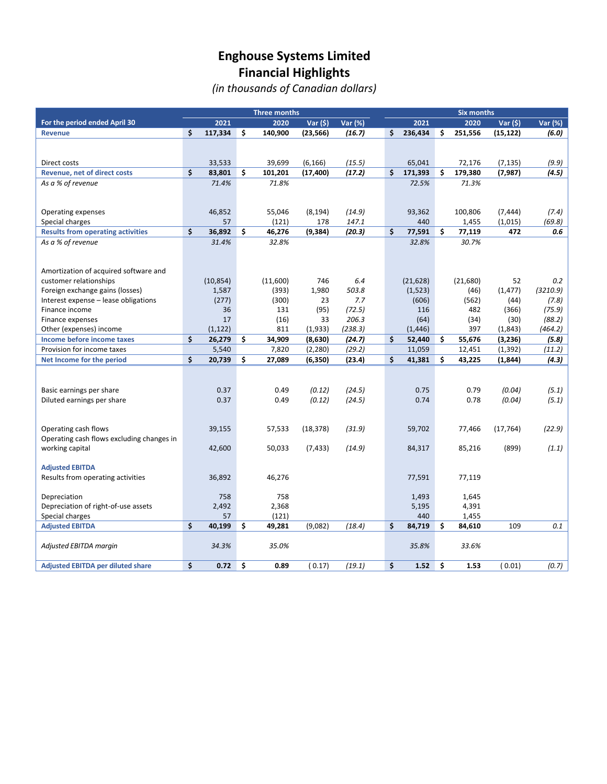## **Enghouse Systems Limited Financial Highlights**

*(in thousands of Canadian dollars)*

| <b>Three months</b>                       |    |           |    |          |           |         |     | <b>Six months</b> |     |          |           |          |
|-------------------------------------------|----|-----------|----|----------|-----------|---------|-----|-------------------|-----|----------|-----------|----------|
| For the period ended April 30             |    | 2021      |    | 2020     | Var (\$)  | Var (%) |     | 2021              |     | 2020     | Var (\$)  | Var (%)  |
| <b>Revenue</b>                            | Ś. | 117,334   | \$ | 140,900  | (23, 566) | (16.7)  | \$. | 236,434           | Ś.  | 251,556  | (15, 122) | (6.0)    |
|                                           |    |           |    |          |           |         |     |                   |     |          |           |          |
|                                           |    |           |    |          |           |         |     |                   |     |          |           |          |
| Direct costs                              |    | 33,533    |    | 39,699   | (6, 166)  | (15.5)  |     | 65,041            |     | 72,176   | (7, 135)  | (9.9)    |
| <b>Revenue, net of direct costs</b>       | \$ | 83,801    | Ś. | 101,201  | (17, 400) | (17.2)  | \$  | 171,393           | \$  | 179,380  | (7, 987)  | (4.5)    |
| As a % of revenue                         |    | 71.4%     |    | 71.8%    |           |         |     | 72.5%             |     | 71.3%    |           |          |
|                                           |    |           |    |          |           |         |     |                   |     |          |           |          |
|                                           |    | 46,852    |    | 55,046   | (8, 194)  | (14.9)  |     | 93,362            |     | 100,806  | (7, 444)  | (7.4)    |
| Operating expenses<br>Special charges     |    | 57        |    | (121)    | 178       | 147.1   |     | 440               |     | 1,455    | (1,015)   | (69.8)   |
| <b>Results from operating activities</b>  | \$ | 36,892    | \$ | 46,276   | (9, 384)  | (20.3)  | \$  | 77,591            | \$  | 77,119   | 472       | 0.6      |
| As a % of revenue                         |    | 31.4%     |    | 32.8%    |           |         |     | 32.8%             |     | 30.7%    |           |          |
|                                           |    |           |    |          |           |         |     |                   |     |          |           |          |
|                                           |    |           |    |          |           |         |     |                   |     |          |           |          |
| Amortization of acquired software and     |    |           |    |          |           |         |     |                   |     |          |           |          |
| customer relationships                    |    | (10, 854) |    | (11,600) | 746       | 6.4     |     | (21, 628)         |     | (21,680) | 52        | 0.2      |
| Foreign exchange gains (losses)           |    | 1,587     |    | (393)    | 1,980     | 503.8   |     | (1, 523)          |     | (46)     | (1, 477)  | (3210.9) |
| Interest expense - lease obligations      |    | (277)     |    | (300)    | 23        | 7.7     |     | (606)             |     | (562)    | (44)      | (7.8)    |
| Finance income                            |    | 36        |    | 131      | (95)      | (72.5)  |     | 116               |     | 482      | (366)     | (75.9)   |
| Finance expenses                          |    | 17        |    | (16)     | 33        | 206.3   |     | (64)              |     | (34)     | (30)      | (88.2)   |
| Other (expenses) income                   |    | (1, 122)  |    | 811      | (1,933)   | (238.3) |     | (1, 446)          |     | 397      | (1,843)   | (464.2)  |
| Income before income taxes                | \$ | 26,279    | \$ | 34,909   | (8,630)   | (24.7)  | \$  | 52,440            | \$  | 55,676   | (3, 236)  | (5.8)    |
| Provision for income taxes                |    | 5,540     |    | 7,820    | (2, 280)  | (29.2)  |     | 11,059            |     | 12,451   | (1, 392)  | (11.2)   |
| Net Income for the period                 | \$ | 20,739    | Ś. | 27,089   | (6, 350)  | (23.4)  | \$  | 41,381            | Ś.  | 43,225   | (1, 844)  | (4.3)    |
|                                           |    |           |    |          |           |         |     |                   |     |          |           |          |
|                                           |    |           |    |          |           |         |     |                   |     |          |           |          |
| Basic earnings per share                  |    | 0.37      |    | 0.49     | (0.12)    | (24.5)  |     | 0.75<br>0.74      |     | 0.79     | (0.04)    | (5.1)    |
| Diluted earnings per share                |    | 0.37      |    | 0.49     | (0.12)    | (24.5)  |     |                   |     | 0.78     | (0.04)    | (5.1)    |
|                                           |    |           |    |          |           |         |     |                   |     |          |           |          |
| Operating cash flows                      |    | 39,155    |    | 57,533   | (18, 378) | (31.9)  |     | 59,702            |     | 77,466   | (17, 764) | (22.9)   |
| Operating cash flows excluding changes in |    |           |    |          |           |         |     |                   |     |          |           |          |
| working capital                           |    | 42,600    |    | 50,033   | (7, 433)  | (14.9)  |     | 84,317            |     | 85,216   | (899)     | (1.1)    |
|                                           |    |           |    |          |           |         |     |                   |     |          |           |          |
| <b>Adjusted EBITDA</b>                    |    |           |    |          |           |         |     |                   |     |          |           |          |
| Results from operating activities         |    | 36,892    |    | 46,276   |           |         |     | 77,591            |     | 77,119   |           |          |
|                                           |    |           |    |          |           |         |     |                   |     |          |           |          |
| Depreciation                              |    | 758       |    | 758      |           |         |     | 1,493             |     | 1,645    |           |          |
| Depreciation of right-of-use assets       |    | 2,492     |    | 2,368    |           |         |     | 5,195             |     | 4,391    |           |          |
| Special charges                           |    | 57        |    | (121)    |           |         |     | 440               |     | 1,455    |           |          |
| <b>Adjusted EBITDA</b>                    | \$ | 40,199    | \$ | 49,281   | (9,082)   | (18.4)  | \$  | 84,719            | \$  | 84,610   | 109       | 0.1      |
|                                           |    |           |    |          |           |         |     |                   |     |          |           |          |
| Adjusted EBITDA margin                    |    | 34.3%     |    | 35.0%    |           |         |     | 35.8%             |     | 33.6%    |           |          |
|                                           |    |           |    |          |           |         |     |                   |     |          |           |          |
| <b>Adjusted EBITDA per diluted share</b>  | \$ | 0.72      | \$ | 0.89     | (0.17)    | (19.1)  | \$  | 1.52              | \$. | 1.53     | (0.01)    | (0.7)    |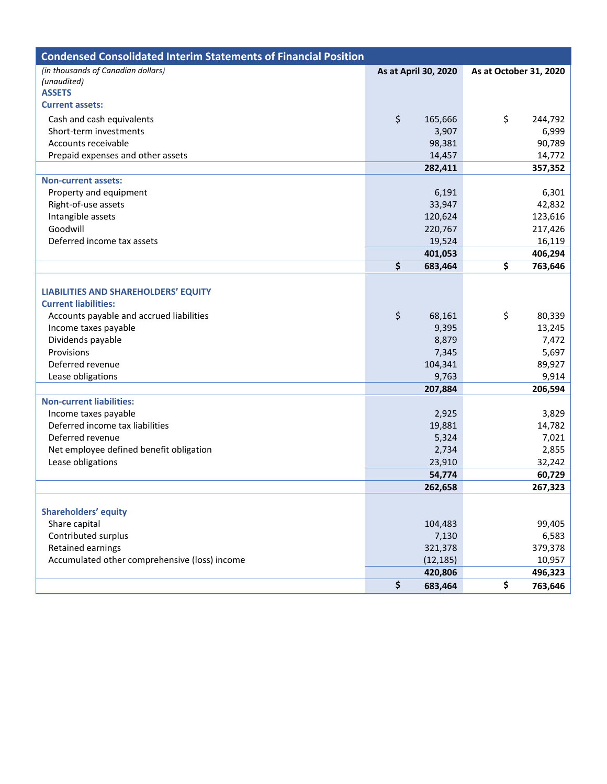| <b>Condensed Consolidated Interim Statements of Financial Position</b> |                      |                        |                   |
|------------------------------------------------------------------------|----------------------|------------------------|-------------------|
| (in thousands of Canadian dollars)                                     | As at April 30, 2020 | As at October 31, 2020 |                   |
| (unaudited)                                                            |                      |                        |                   |
| <b>ASSETS</b><br><b>Current assets:</b>                                |                      |                        |                   |
|                                                                        |                      |                        |                   |
| Cash and cash equivalents                                              | \$<br>165,666        | \$                     | 244,792           |
| Short-term investments                                                 | 3,907                |                        | 6,999             |
| Accounts receivable                                                    | 98,381               |                        | 90,789            |
| Prepaid expenses and other assets                                      | 14,457               |                        | 14,772            |
|                                                                        | 282,411              |                        | 357,352           |
| <b>Non-current assets:</b>                                             |                      |                        |                   |
| Property and equipment                                                 | 6,191                |                        | 6,301             |
| Right-of-use assets<br>Intangible assets                               | 33,947<br>120,624    |                        | 42,832<br>123,616 |
| Goodwill                                                               | 220,767              |                        | 217,426           |
| Deferred income tax assets                                             | 19,524               |                        | 16,119            |
|                                                                        | 401,053              |                        | 406,294           |
|                                                                        | \$<br>683,464        | \$                     | 763,646           |
|                                                                        |                      |                        |                   |
| <b>LIABILITIES AND SHAREHOLDERS' EQUITY</b>                            |                      |                        |                   |
| <b>Current liabilities:</b>                                            |                      |                        |                   |
| Accounts payable and accrued liabilities                               | \$<br>68,161         | \$                     | 80,339            |
| Income taxes payable                                                   | 9,395                |                        | 13,245            |
| Dividends payable                                                      | 8,879                |                        | 7,472             |
| Provisions                                                             | 7,345                |                        | 5,697             |
| Deferred revenue                                                       | 104,341              |                        | 89,927            |
| Lease obligations                                                      | 9,763                |                        | 9,914             |
|                                                                        | 207,884              |                        | 206,594           |
| <b>Non-current liabilities:</b>                                        |                      |                        |                   |
| Income taxes payable                                                   | 2,925                |                        | 3,829             |
| Deferred income tax liabilities                                        | 19,881               |                        | 14,782            |
| Deferred revenue                                                       | 5,324                |                        | 7,021             |
| Net employee defined benefit obligation                                | 2,734                |                        | 2,855             |
| Lease obligations                                                      | 23,910               |                        | 32,242            |
|                                                                        | 54,774               |                        | 60,729            |
|                                                                        | 262,658              |                        | 267,323           |
|                                                                        |                      |                        |                   |
| <b>Shareholders' equity</b>                                            |                      |                        |                   |
| Share capital                                                          | 104,483              |                        | 99,405            |
| Contributed surplus                                                    | 7,130                |                        | 6,583             |
| Retained earnings                                                      | 321,378              |                        | 379,378           |
| Accumulated other comprehensive (loss) income                          | (12, 185)            |                        | 10,957            |
|                                                                        | 420,806              |                        | 496,323           |
|                                                                        | \$<br>683,464        | \$                     | 763,646           |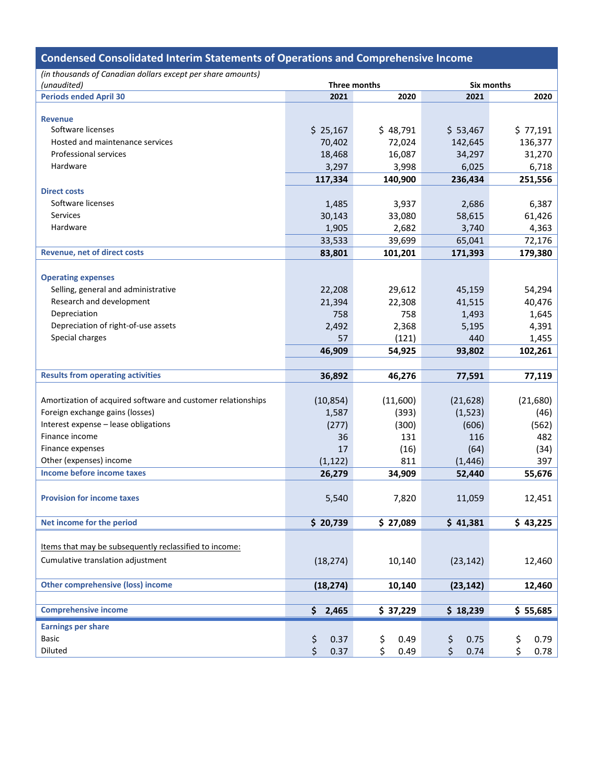| <b>Condensed Consolidated Interim Statements of Operations and Comprehensive Income</b> |                        |              |            |                 |  |  |
|-----------------------------------------------------------------------------------------|------------------------|--------------|------------|-----------------|--|--|
| (in thousands of Canadian dollars except per share amounts)                             |                        |              |            |                 |  |  |
| (unaudited)                                                                             |                        | Three months | Six months |                 |  |  |
| <b>Periods ended April 30</b>                                                           | 2021                   | 2020         | 2021       | 2020            |  |  |
|                                                                                         |                        |              |            |                 |  |  |
| <b>Revenue</b><br>Software licenses                                                     | \$25,167               | \$48,791     | \$53,467   | \$77,191        |  |  |
| Hosted and maintenance services                                                         | 70,402                 | 72,024       | 142,645    | 136,377         |  |  |
| <b>Professional services</b>                                                            | 18,468                 | 16,087       | 34,297     | 31,270          |  |  |
| Hardware                                                                                | 3,297                  | 3,998        | 6,025      | 6,718           |  |  |
|                                                                                         | 117,334                | 140,900      | 236,434    | 251,556         |  |  |
| <b>Direct costs</b>                                                                     |                        |              |            |                 |  |  |
| Software licenses                                                                       | 1,485                  | 3,937        | 2,686      |                 |  |  |
| Services                                                                                | 30,143                 | 33,080       | 58,615     | 6,387<br>61,426 |  |  |
| Hardware                                                                                | 1,905                  | 2,682        | 3,740      | 4,363           |  |  |
|                                                                                         | 33,533                 | 39,699       | 65,041     | 72,176          |  |  |
| Revenue, net of direct costs                                                            | 83,801                 | 101,201      | 171,393    | 179,380         |  |  |
|                                                                                         |                        |              |            |                 |  |  |
| <b>Operating expenses</b>                                                               |                        |              |            |                 |  |  |
| Selling, general and administrative                                                     | 22,208                 | 29,612       | 45,159     | 54,294          |  |  |
| Research and development                                                                | 21,394                 | 22,308       | 41,515     | 40,476          |  |  |
| Depreciation                                                                            | 758                    | 758          | 1,493      | 1,645           |  |  |
| Depreciation of right-of-use assets                                                     | 2,492                  | 2,368        | 5,195      | 4,391           |  |  |
| Special charges                                                                         | 57                     | (121)        | 440        | 1,455           |  |  |
|                                                                                         | 46,909                 | 54,925       | 93,802     | 102,261         |  |  |
|                                                                                         |                        |              |            |                 |  |  |
| <b>Results from operating activities</b>                                                | 36,892                 | 46,276       | 77,591     | 77,119          |  |  |
|                                                                                         |                        |              |            |                 |  |  |
| Amortization of acquired software and customer relationships                            | (10, 854)              | (11,600)     | (21, 628)  | (21,680)        |  |  |
| Foreign exchange gains (losses)                                                         | 1,587                  | (393)        | (1, 523)   | (46)            |  |  |
| Interest expense - lease obligations                                                    | (277)                  | (300)        | (606)      | (562)           |  |  |
| Finance income                                                                          | 36                     | 131          | 116        | 482             |  |  |
| Finance expenses                                                                        | 17                     | (16)         | (64)       | (34)            |  |  |
| Other (expenses) income                                                                 | (1, 122)               | 811          | (1, 446)   | 397             |  |  |
| Income before income taxes                                                              | 26,279                 | 34,909       | 52,440     | 55,676          |  |  |
|                                                                                         |                        |              |            |                 |  |  |
| <b>Provision for income taxes</b>                                                       | 5,540                  | 7,820        | 11,059     | 12,451          |  |  |
|                                                                                         |                        |              |            |                 |  |  |
| Net income for the period                                                               | \$20,739               | \$27,089     | \$41,381   | \$43,225        |  |  |
|                                                                                         |                        |              |            |                 |  |  |
| Items that may be subsequently reclassified to income:                                  |                        |              |            |                 |  |  |
| Cumulative translation adjustment                                                       | (18, 274)              | 10,140       | (23, 142)  | 12,460          |  |  |
|                                                                                         |                        |              |            |                 |  |  |
| <b>Other comprehensive (loss) income</b>                                                | (18, 274)              | 10,140       | (23, 142)  | 12,460          |  |  |
|                                                                                         |                        |              |            |                 |  |  |
| <b>Comprehensive income</b>                                                             | $\mathsf{\$}$<br>2,465 | \$37,229     | \$18,239   | \$55,685        |  |  |
|                                                                                         |                        |              |            |                 |  |  |
| <b>Earnings per share</b>                                                               |                        |              |            |                 |  |  |
| <b>Basic</b>                                                                            | \$<br>0.37             | \$<br>0.49   | \$<br>0.75 | \$<br>0.79      |  |  |
| Diluted                                                                                 | \$<br>0.37             | \$<br>0.49   | \$<br>0.74 | \$<br>0.78      |  |  |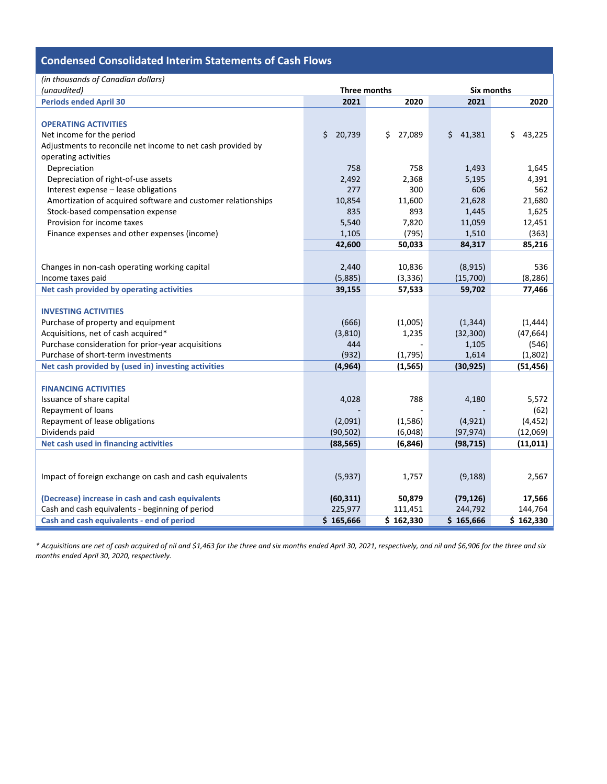### **Condensed Consolidated Interim Statements of Cash Flows**

| (in thousands of Canadian dollars)                           |              |              |              |              |  |  |
|--------------------------------------------------------------|--------------|--------------|--------------|--------------|--|--|
| (unaudited)                                                  | Three months |              | Six months   |              |  |  |
| <b>Periods ended April 30</b>                                | 2021         | 2020         | 2021         | 2020         |  |  |
|                                                              |              |              |              |              |  |  |
| <b>OPERATING ACTIVITIES</b>                                  |              |              |              |              |  |  |
| Net income for the period                                    | \$<br>20,739 | \$<br>27,089 | Ś.<br>41,381 | \$<br>43,225 |  |  |
| Adjustments to reconcile net income to net cash provided by  |              |              |              |              |  |  |
| operating activities                                         |              |              |              |              |  |  |
| Depreciation                                                 | 758          | 758          | 1,493        | 1,645        |  |  |
| Depreciation of right-of-use assets                          | 2,492        | 2,368        | 5,195        | 4,391        |  |  |
| Interest expense - lease obligations                         | 277          | 300          | 606          | 562          |  |  |
| Amortization of acquired software and customer relationships | 10,854       | 11,600       | 21,628       | 21,680       |  |  |
| Stock-based compensation expense                             | 835          | 893          | 1,445        | 1,625        |  |  |
| Provision for income taxes                                   | 5,540        | 7,820        | 11,059       | 12,451       |  |  |
| Finance expenses and other expenses (income)                 | 1,105        | (795)        | 1,510        | (363)        |  |  |
|                                                              | 42,600       | 50,033       | 84,317       | 85,216       |  |  |
|                                                              |              |              |              |              |  |  |
| Changes in non-cash operating working capital                | 2,440        | 10,836       | (8, 915)     | 536          |  |  |
| Income taxes paid                                            | (5,885)      | (3,336)      | (15,700)     | (8, 286)     |  |  |
| Net cash provided by operating activities                    | 39,155       | 57,533       | 59,702       | 77,466       |  |  |
|                                                              |              |              |              |              |  |  |
| <b>INVESTING ACTIVITIES</b>                                  |              |              |              |              |  |  |
| Purchase of property and equipment                           | (666)        | (1,005)      | (1, 344)     | (1, 444)     |  |  |
| Acquisitions, net of cash acquired*                          | (3,810)      | 1,235        | (32, 300)    | (47, 664)    |  |  |
| Purchase consideration for prior-year acquisitions           | 444          |              | 1,105        | (546)        |  |  |
| Purchase of short-term investments                           | (932)        | (1,795)      | 1,614        | (1,802)      |  |  |
| Net cash provided by (used in) investing activities          | (4, 964)     | (1, 565)     | (30, 925)    | (51, 456)    |  |  |
|                                                              |              |              |              |              |  |  |
| <b>FINANCING ACTIVITIES</b>                                  |              |              |              |              |  |  |
| Issuance of share capital                                    | 4,028        | 788          | 4,180        | 5,572        |  |  |
| Repayment of loans                                           |              |              |              | (62)         |  |  |
| Repayment of lease obligations                               | (2,091)      | (1,586)      | (4, 921)     | (4, 452)     |  |  |
| Dividends paid                                               | (90, 502)    | (6,048)      | (97, 974)    | (12,069)     |  |  |
| Net cash used in financing activities                        | (88, 565)    | (6, 846)     | (98, 715)    | (11, 011)    |  |  |
|                                                              |              |              |              |              |  |  |
|                                                              |              |              |              |              |  |  |
| Impact of foreign exchange on cash and cash equivalents      | (5,937)      | 1,757        | (9, 188)     | 2,567        |  |  |
|                                                              |              |              |              |              |  |  |
| (Decrease) increase in cash and cash equivalents             | (60, 311)    | 50,879       | (79, 126)    | 17,566       |  |  |
| Cash and cash equivalents - beginning of period              | 225,977      | 111,451      | 244,792      | 144,764      |  |  |
| Cash and cash equivalents - end of period                    | \$165,666    | \$162,330    | \$165,666    | \$162,330    |  |  |

*\* Acquisitions are net of cash acquired of nil and \$1,463 for the three and six months ended April 30, 2021, respectively, and nil and \$6,906 for the three and six months ended April 30, 2020, respectively.*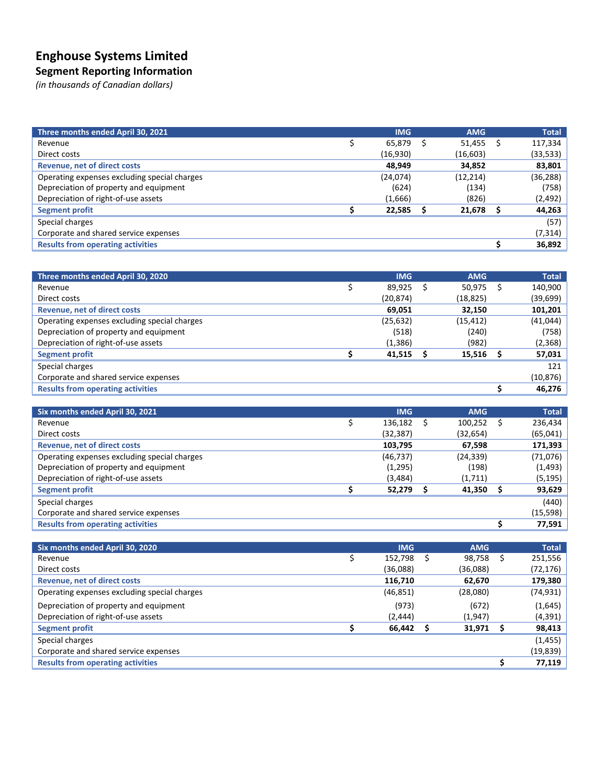# **Enghouse Systems Limited**

### **Segment Reporting Information**

*(in thousands of Canadian dollars)*

| Three months ended April 30, 2021            | <b>IMG</b> | <b>AMG</b> | <b>Total</b> |
|----------------------------------------------|------------|------------|--------------|
| Revenue                                      | 65,879     | 51,455     | 117,334      |
| Direct costs                                 | (16,930)   | (16, 603)  | (33, 533)    |
| <b>Revenue, net of direct costs</b>          | 48,949     | 34,852     | 83,801       |
| Operating expenses excluding special charges | (24,074)   | (12, 214)  | (36, 288)    |
| Depreciation of property and equipment       | (624)      | (134)      | (758)        |
| Depreciation of right-of-use assets          | (1,666)    | (826)      | (2, 492)     |
| <b>Segment profit</b>                        | 22,585     | 21,678     | 44,263       |
| Special charges                              |            |            | (57)         |
| Corporate and shared service expenses        |            |            | (7,314)      |
| <b>Results from operating activities</b>     |            |            | 36,892       |

| Three months ended April 30, 2020            | <b>IMG</b> | <b>AMG</b> |   | <b>Total</b> |
|----------------------------------------------|------------|------------|---|--------------|
| Revenue                                      | 89,925     | 50,975     | S | 140,900      |
| Direct costs                                 | (20,874)   | (18,825)   |   | (39,699)     |
| <b>Revenue, net of direct costs</b>          | 69,051     | 32,150     |   | 101,201      |
| Operating expenses excluding special charges | (25, 632)  | (15, 412)  |   | (41,044)     |
| Depreciation of property and equipment       | (518)      | (240)      |   | (758)        |
| Depreciation of right-of-use assets          | (1,386)    | (982)      |   | (2,368)      |
| <b>Segment profit</b>                        | 41.515     | 15,516     |   | 57,031       |
| Special charges                              |            |            |   | 121          |
| Corporate and shared service expenses        |            |            |   | (10, 876)    |
| <b>Results from operating activities</b>     |            |            |   | 46,276       |

| Six months ended April 30, 2021              | <b>IMG</b>    | <b>AMG</b> |   | <b>Total</b> |
|----------------------------------------------|---------------|------------|---|--------------|
| Revenue                                      | \$<br>136,182 | 100,252    | S | 236,434      |
| Direct costs                                 | (32, 387)     | (32, 654)  |   | (65, 041)    |
| <b>Revenue, net of direct costs</b>          | 103,795       | 67,598     |   | 171,393      |
| Operating expenses excluding special charges | (46, 737)     | (24, 339)  |   | (71,076)     |
| Depreciation of property and equipment       | (1,295)       | (198)      |   | (1, 493)     |
| Depreciation of right-of-use assets          | (3,484)       | (1,711)    |   | (5,195)      |
| <b>Segment profit</b>                        | 52,279        | 41,350     |   | 93,629       |
| Special charges                              |               |            |   | (440)        |
| Corporate and shared service expenses        |               |            |   | (15, 598)    |
| <b>Results from operating activities</b>     |               |            |   | 77,591       |

| Six months ended April 30, 2020              | <b>IMG</b> | <b>AMG</b> |   | <b>Total</b> |
|----------------------------------------------|------------|------------|---|--------------|
| Revenue                                      | 152.798    | 98,758     | S | 251,556      |
| Direct costs                                 | (36,088)   | (36,088)   |   | (72,176)     |
| <b>Revenue, net of direct costs</b>          | 116,710    | 62,670     |   | 179,380      |
| Operating expenses excluding special charges | (46, 851)  | (28,080)   |   | (74,931)     |
| Depreciation of property and equipment       | (973)      | (672)      |   | (1,645)      |
| Depreciation of right-of-use assets          | (2, 444)   | (1, 947)   |   | (4, 391)     |
| <b>Segment profit</b>                        | 66,442     | 31,971     |   | 98,413       |
| Special charges                              |            |            |   | (1, 455)     |
| Corporate and shared service expenses        |            |            |   | (19, 839)    |
| <b>Results from operating activities</b>     |            |            |   | 77,119       |